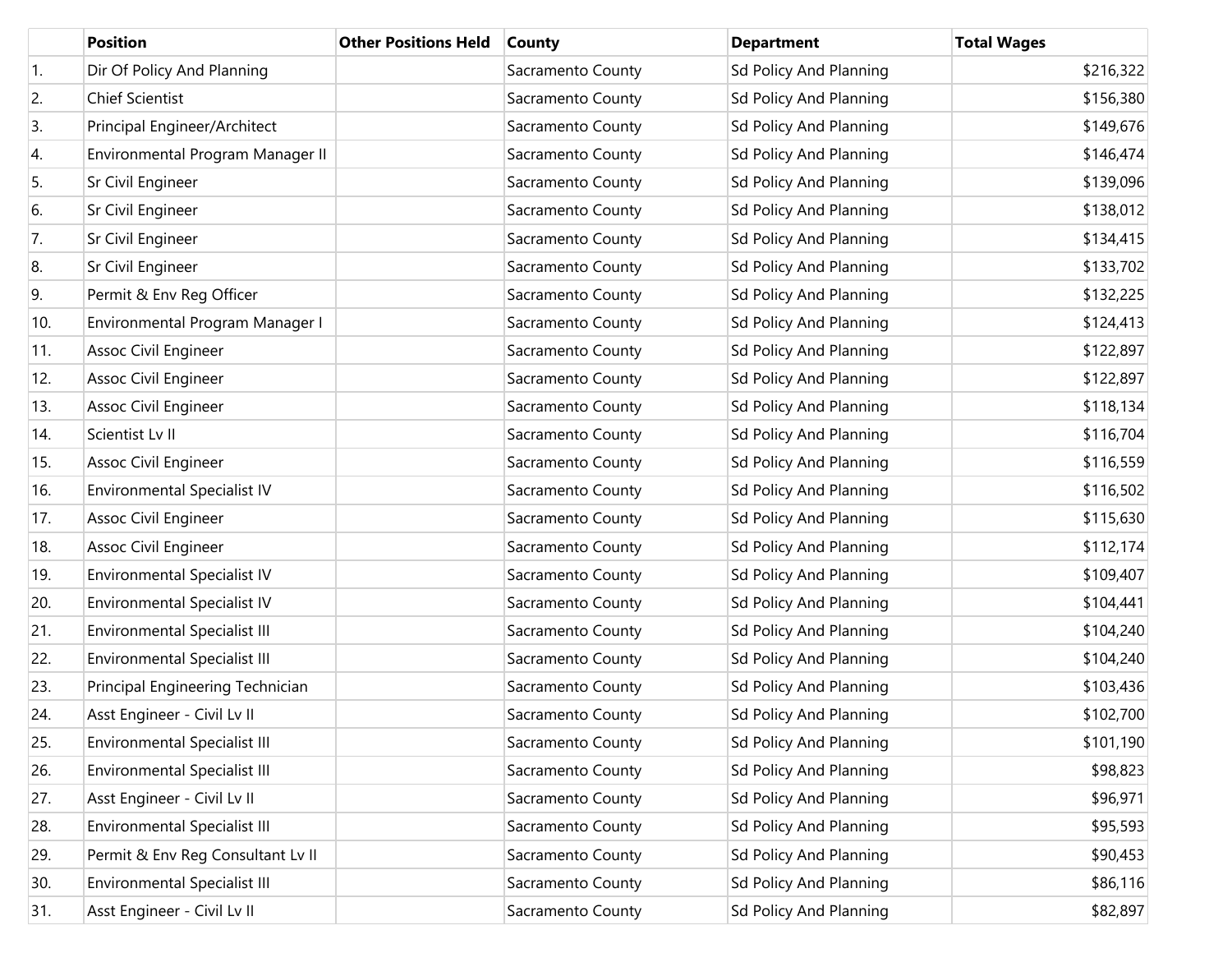|                  | <b>Position</b>                     | <b>Other Positions Held</b> | <b>County</b>     | <b>Department</b>             | <b>Total Wages</b> |
|------------------|-------------------------------------|-----------------------------|-------------------|-------------------------------|--------------------|
| $\overline{1}$ . | Dir Of Policy And Planning          |                             | Sacramento County | Sd Policy And Planning        | \$216,322          |
| 2.               | <b>Chief Scientist</b>              |                             | Sacramento County | Sd Policy And Planning        | \$156,380          |
| 3.               | Principal Engineer/Architect        |                             | Sacramento County | Sd Policy And Planning        | \$149,676          |
| 4.               | Environmental Program Manager II    |                             | Sacramento County | Sd Policy And Planning        | \$146,474          |
| 5.               | Sr Civil Engineer                   |                             | Sacramento County | Sd Policy And Planning        | \$139,096          |
| 6.               | Sr Civil Engineer                   |                             | Sacramento County | Sd Policy And Planning        | \$138,012          |
| 7.               | Sr Civil Engineer                   |                             | Sacramento County | Sd Policy And Planning        | \$134,415          |
| 8.               | Sr Civil Engineer                   |                             | Sacramento County | Sd Policy And Planning        | \$133,702          |
| 9.               | Permit & Env Reg Officer            |                             | Sacramento County | Sd Policy And Planning        | \$132,225          |
| 10.              | Environmental Program Manager I     |                             | Sacramento County | Sd Policy And Planning        | \$124,413          |
| 11.              | Assoc Civil Engineer                |                             | Sacramento County | Sd Policy And Planning        | \$122,897          |
| 12.              | Assoc Civil Engineer                |                             | Sacramento County | Sd Policy And Planning        | \$122,897          |
| 13.              | Assoc Civil Engineer                |                             | Sacramento County | Sd Policy And Planning        | \$118,134          |
| 14.              | Scientist Lv II                     |                             | Sacramento County | Sd Policy And Planning        | \$116,704          |
| 15.              | Assoc Civil Engineer                |                             | Sacramento County | Sd Policy And Planning        | \$116,559          |
| 16.              | Environmental Specialist IV         |                             | Sacramento County | Sd Policy And Planning        | \$116,502          |
| 17.              | Assoc Civil Engineer                |                             | Sacramento County | Sd Policy And Planning        | \$115,630          |
| 18.              | Assoc Civil Engineer                |                             | Sacramento County | Sd Policy And Planning        | \$112,174          |
| 19.              | Environmental Specialist IV         |                             | Sacramento County | Sd Policy And Planning        | \$109,407          |
| 20.              | <b>Environmental Specialist IV</b>  |                             | Sacramento County | Sd Policy And Planning        | \$104,441          |
| 21.              | <b>Environmental Specialist III</b> |                             | Sacramento County | <b>Sd Policy And Planning</b> | \$104,240          |
| 22.              | <b>Environmental Specialist III</b> |                             | Sacramento County | Sd Policy And Planning        | \$104,240          |
| 23.              | Principal Engineering Technician    |                             | Sacramento County | Sd Policy And Planning        | \$103,436          |
| 24.              | Asst Engineer - Civil Lv II         |                             | Sacramento County | Sd Policy And Planning        | \$102,700          |
| 25.              | <b>Environmental Specialist III</b> |                             | Sacramento County | Sd Policy And Planning        | \$101,190          |
| 26.              | <b>Environmental Specialist III</b> |                             | Sacramento County | Sd Policy And Planning        | \$98,823           |
| 27.              | Asst Engineer - Civil Lv II         |                             | Sacramento County | Sd Policy And Planning        | \$96,971           |
| 28.              | <b>Environmental Specialist III</b> |                             | Sacramento County | Sd Policy And Planning        | \$95,593           |
| 29.              | Permit & Env Reg Consultant Lv II   |                             | Sacramento County | Sd Policy And Planning        | \$90,453           |
| 30.              | <b>Environmental Specialist III</b> |                             | Sacramento County | Sd Policy And Planning        | \$86,116           |
| 31.              | Asst Engineer - Civil Lv II         |                             | Sacramento County | Sd Policy And Planning        | \$82,897           |